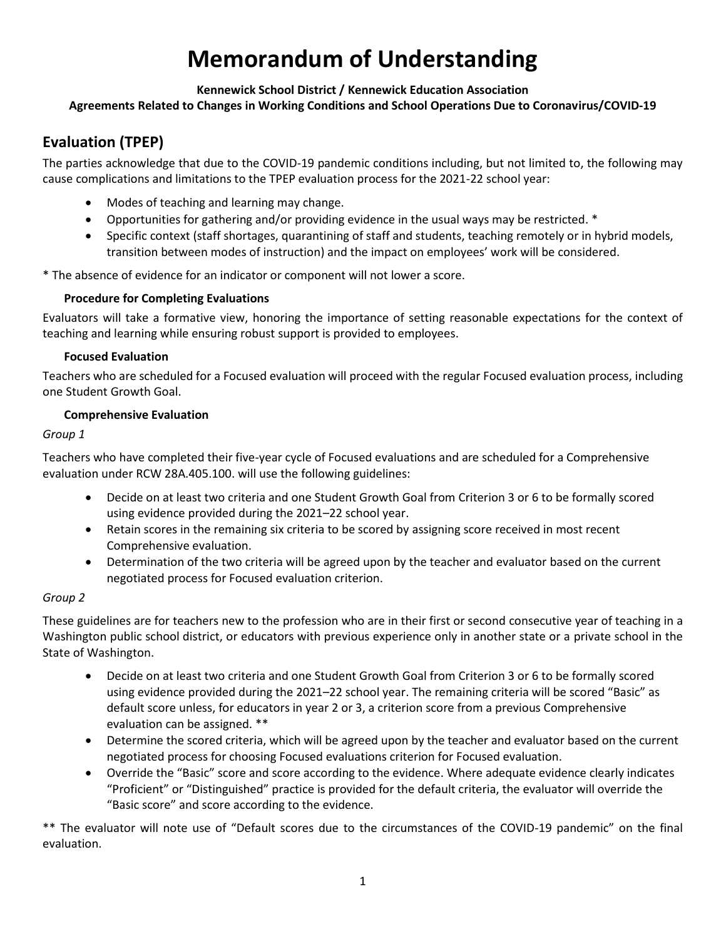# **Memorandum of Understanding**

#### **Kennewick School District / Kennewick Education Association**

### **Agreements Related to Changes in Working Conditions and School Operations Due to Coronavirus/COVID-19**

## **Evaluation (TPEP)**

The parties acknowledge that due to the COVID-19 pandemic conditions including, but not limited to, the following may cause complications and limitations to the TPEP evaluation process for the 2021-22 school year:

- Modes of teaching and learning may change.
- Opportunities for gathering and/or providing evidence in the usual ways may be restricted. \*
- Specific context (staff shortages, quarantining of staff and students, teaching remotely or in hybrid models, transition between modes of instruction) and the impact on employees' work will be considered.

\* The absence of evidence for an indicator or component will not lower a score.

#### **Procedure for Completing Evaluations**

Evaluators will take a formative view, honoring the importance of setting reasonable expectations for the context of teaching and learning while ensuring robust support is provided to employees.

#### **Focused Evaluation**

Teachers who are scheduled for a Focused evaluation will proceed with the regular Focused evaluation process, including one Student Growth Goal.

#### **Comprehensive Evaluation**

#### *Group 1*

Teachers who have completed their five-year cycle of Focused evaluations and are scheduled for a Comprehensive evaluation under RCW 28A.405.100. will use the following guidelines:

- Decide on at least two criteria and one Student Growth Goal from Criterion 3 or 6 to be formally scored using evidence provided during the 2021–22 school year.
- Retain scores in the remaining six criteria to be scored by assigning score received in most recent Comprehensive evaluation.
- Determination of the two criteria will be agreed upon by the teacher and evaluator based on the current negotiated process for Focused evaluation criterion.

#### *Group 2*

These guidelines are for teachers new to the profession who are in their first or second consecutive year of teaching in a Washington public school district, or educators with previous experience only in another state or a private school in the State of Washington.

- Decide on at least two criteria and one Student Growth Goal from Criterion 3 or 6 to be formally scored using evidence provided during the 2021–22 school year. The remaining criteria will be scored "Basic" as default score unless, for educators in year 2 or 3, a criterion score from a previous Comprehensive evaluation can be assigned. \*\*
- Determine the scored criteria, which will be agreed upon by the teacher and evaluator based on the current negotiated process for choosing Focused evaluations criterion for Focused evaluation.
- Override the "Basic" score and score according to the evidence. Where adequate evidence clearly indicates "Proficient" or "Distinguished" practice is provided for the default criteria, the evaluator will override the "Basic score" and score according to the evidence.

\*\* The evaluator will note use of "Default scores due to the circumstances of the COVID-19 pandemic" on the final evaluation.